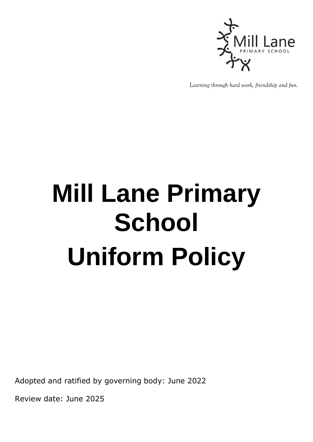

*Learning through hard work, friendship and fun.*

## **Mill Lane Primary School Uniform Policy**

Adopted and ratified by governing body: June 2022

Review date: June 2025